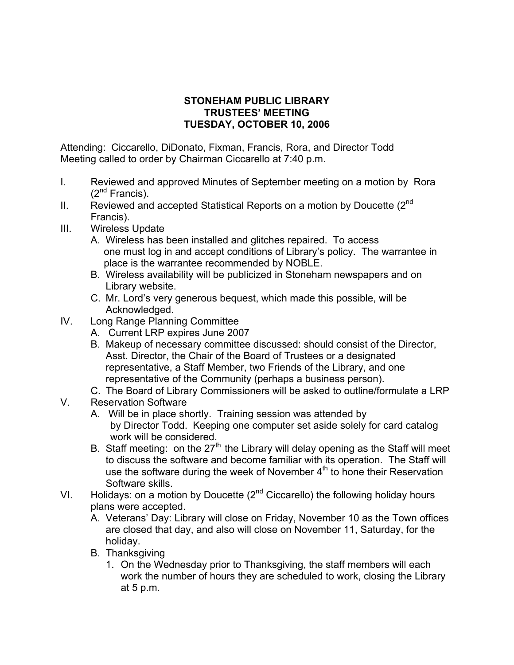## **STONEHAM PUBLIC LIBRARY TRUSTEES' MEETING TUESDAY, OCTOBER 10, 2006**

Attending: Ciccarello, DiDonato, Fixman, Francis, Rora, and Director Todd Meeting called to order by Chairman Ciccarello at 7:40 p.m.

- I. Reviewed and approved Minutes of September meeting on a motion by Rora  $(2^{nd}$  Francis).
- II. Reviewed and accepted Statistical Reports on a motion by Doucette  $(2^{nd}$ Francis).
- III. Wireless Update
	- A. Wireless has been installed and glitches repaired. To access one must log in and accept conditions of Library's policy. The warrantee in place is the warrantee recommended by NOBLE.
	- B. Wireless availability will be publicized in Stoneham newspapers and on Library website.
	- C. Mr. Lord's very generous bequest, which made this possible, will be Acknowledged.
- IV. Long Range Planning Committee
	- A. Current LRP expires June 2007
	- B. Makeup of necessary committee discussed: should consist of the Director, Asst. Director, the Chair of the Board of Trustees or a designated representative, a Staff Member, two Friends of the Library, and one representative of the Community (perhaps a business person).
	- C. The Board of Library Commissioners will be asked to outline/formulate a LRP
- V. Reservation Software
	- A. Will be in place shortly. Training session was attended by by Director Todd. Keeping one computer set aside solely for card catalog work will be considered.
	- B. Staff meeting: on the  $27<sup>th</sup>$  the Library will delay opening as the Staff will meet to discuss the software and become familiar with its operation. The Staff will use the software during the week of November  $4<sup>th</sup>$  to hone their Reservation Software skills.
- VI. Holidays: on a motion by Doucette  $(2^{nd}$  Ciccarello) the following holiday hours plans were accepted.
	- A. Veterans' Day: Library will close on Friday, November 10 as the Town offices are closed that day, and also will close on November 11, Saturday, for the holiday.
	- B. Thanksgiving
		- 1. On the Wednesday prior to Thanksgiving, the staff members will each work the number of hours they are scheduled to work, closing the Library at 5 p.m.